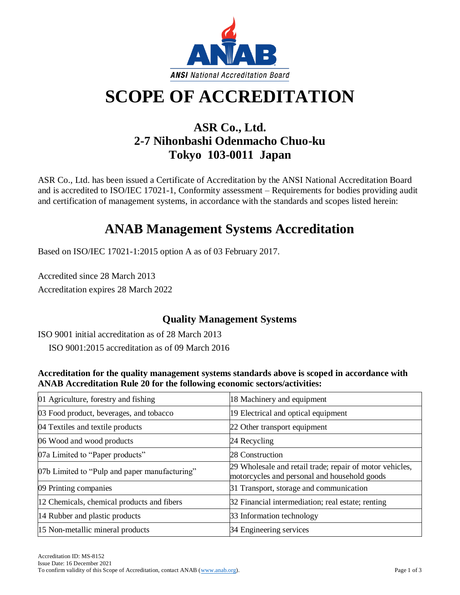

# **SCOPE OF ACCREDITATION**

### **ASR Co., Ltd. 2-7 Nihonbashi Odenmacho Chuo-ku Tokyo 103-0011 Japan**

ASR Co., Ltd. has been issued a Certificate of Accreditation by the ANSI National Accreditation Board and is accredited to ISO/IEC 17021-1, Conformity assessment – Requirements for bodies providing audit and certification of management systems, in accordance with the standards and scopes listed herein:

## **ANAB Management Systems Accreditation**

Based on ISO/IEC 17021-1:2015 option A as of 03 February 2017.

Accredited since 28 March 2013 Accreditation expires 28 March 2022

### **Quality Management Systems**

ISO 9001 initial accreditation as of 28 March 2013 ISO 9001:2015 accreditation as of 09 March 2016

**Accreditation for the quality management systems standards above is scoped in accordance with ANAB Accreditation Rule 20 for the following economic sectors/activities:**

| 01 Agriculture, forestry and fishing          | 18 Machinery and equipment                                                                               |
|-----------------------------------------------|----------------------------------------------------------------------------------------------------------|
| 03 Food product, beverages, and tobacco       | 19 Electrical and optical equipment                                                                      |
| 04 Textiles and textile products              | 22 Other transport equipment                                                                             |
| 06 Wood and wood products                     | 24 Recycling                                                                                             |
| 07a Limited to "Paper products"               | 28 Construction                                                                                          |
| 07b Limited to "Pulp and paper manufacturing" | 29 Wholesale and retail trade; repair of motor vehicles,<br>motorcycles and personal and household goods |
| 09 Printing companies                         | 31 Transport, storage and communication                                                                  |
| 12 Chemicals, chemical products and fibers    | 32 Financial intermediation; real estate; renting                                                        |
| 14 Rubber and plastic products                | 33 Information technology                                                                                |
| 15 Non-metallic mineral products              | 34 Engineering services                                                                                  |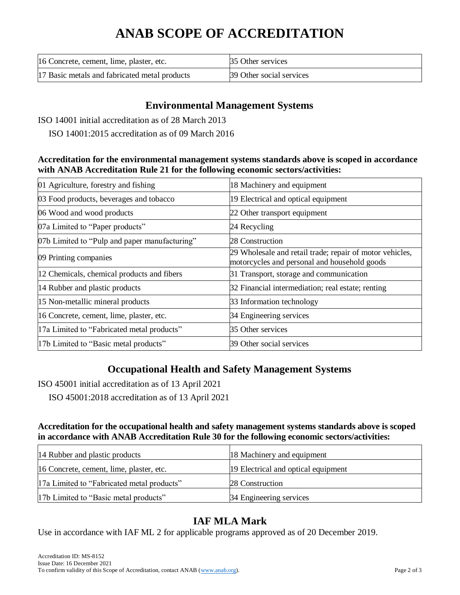# **ANAB SCOPE OF ACCREDITATION**

| 16 Concrete, cement, lime, plaster, etc.      | 35 Other services        |
|-----------------------------------------------|--------------------------|
| 17 Basic metals and fabricated metal products | 39 Other social services |

#### **Environmental Management Systems**

ISO 14001 initial accreditation as of 28 March 2013

ISO 14001:2015 accreditation as of 09 March 2016

#### **Accreditation for the environmental management systems standards above is scoped in accordance with ANAB Accreditation Rule 21 for the following economic sectors/activities:**

| 01 Agriculture, forestry and fishing          | 18 Machinery and equipment                                                                               |
|-----------------------------------------------|----------------------------------------------------------------------------------------------------------|
| 03 Food products, beverages and tobacco       | 19 Electrical and optical equipment                                                                      |
| 06 Wood and wood products                     | 22 Other transport equipment                                                                             |
| 07a Limited to "Paper products"               | 24 Recycling                                                                                             |
| 07b Limited to "Pulp and paper manufacturing" | 28 Construction                                                                                          |
| 09 Printing companies                         | 29 Wholesale and retail trade; repair of motor vehicles,<br>motorcycles and personal and household goods |
| 12 Chemicals, chemical products and fibers    | 31 Transport, storage and communication                                                                  |
| 14 Rubber and plastic products                | 32 Financial intermediation; real estate; renting                                                        |
| 15 Non-metallic mineral products              | 33 Information technology                                                                                |
| 16 Concrete, cement, lime, plaster, etc.      | 34 Engineering services                                                                                  |
| 17a Limited to "Fabricated metal products"    | 35 Other services                                                                                        |
| 17b Limited to "Basic metal products"         | 39 Other social services                                                                                 |

### **Occupational Health and Safety Management Systems**

ISO 45001 initial accreditation as of 13 April 2021

ISO 45001:2018 accreditation as of 13 April 2021

#### **Accreditation for the occupational health and safety management systems standards above is scoped in accordance with ANAB Accreditation Rule 30 for the following economic sectors/activities:**

| 14 Rubber and plastic products             | 18 Machinery and equipment          |
|--------------------------------------------|-------------------------------------|
| 16 Concrete, cement, lime, plaster, etc.   | 19 Electrical and optical equipment |
| 17a Limited to "Fabricated metal products" | 28 Construction                     |
| 17b Limited to "Basic metal products"      | 34 Engineering services             |

### **IAF MLA Mark**

Use in accordance with IAF ML 2 for applicable programs approved as of 20 December 2019.